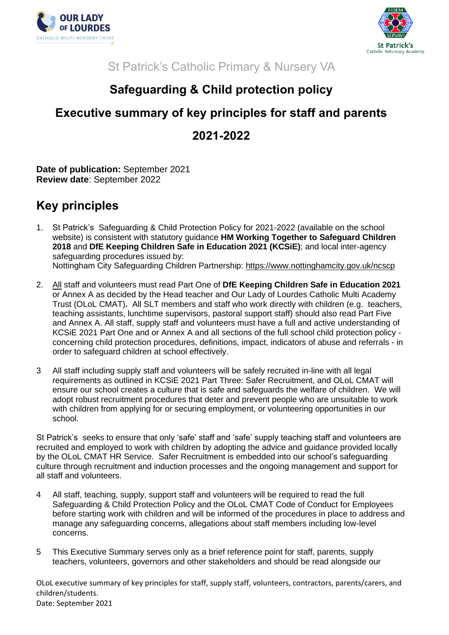



St Patrick's Catholic Primary & Nursery VA

## **Safeguarding & Child protection policy**

## **Executive summary of key principles for staff and parents 2021-2022**

**Date of publication:** September 2021 **Review date**: September 2022

## **Key principles**

- 1. St Patrick's Safeguarding & Child Protection Policy for 2021-2022 (available on the school website) is consistent with statutory guidance **HM Working Together to Safeguard Children 2018** and **DfE Keeping Children Safe in Education 2021 (KCSiE)**; and local inter-agency safeguarding procedures issued by: Nottingham City Safeguarding Children Partnership:<https://www.nottinghamcity.gov.uk/ncscp>
- 2. All staff and volunteers must read Part One of **DfE Keeping Children Safe in Education 2021**  or Annex A as decided by the Head teacher and Our Lady of Lourdes Catholic Multi Academy Trust (OLoL CMAT)**.** All SLT members and staff who work directly with children (e.g. teachers, teaching assistants, lunchtime supervisors, pastoral support staff) should also read Part Five and Annex A. All staff, supply staff and volunteers must have a full and active understanding of KCSiE 2021 Part One and or Annex A and all sections of the full school child protection policy concerning child protection procedures, definitions, impact, indicators of abuse and referrals - in order to safeguard children at school effectively.
- 3 All staff including supply staff and volunteers will be safely recruited in-line with all legal requirements as outlined in KCSiE 2021 Part Three: Safer Recruitment, and OLoL CMAT will ensure our school creates a culture that is safe and safeguards the welfare of children. We will adopt robust recruitment procedures that deter and prevent people who are unsuitable to work with children from applying for or securing employment, or volunteering opportunities in our school.

St Patrick's seeks to ensure that only 'safe' staff and 'safe' supply teaching staff and volunteers are recruited and employed to work with children by adopting the advice and guidance provided locally by the OLoL CMAT HR Service. Safer Recruitment is embedded into our school's safeguarding culture through recruitment and induction processes and the ongoing management and support for all staff and volunteers.

- 4 All staff, teaching, supply, support staff and volunteers will be required to read the full Safeguarding & Child Protection Policy and the OLoL CMAT Code of Conduct for Employees before starting work with children and will be informed of the procedures in place to address and manage any safeguarding concerns, allegations about staff members including low-level concerns.
- 5 This Executive Summary serves only as a brief reference point for staff, parents, supply teachers, volunteers, governors and other stakeholders and should be read alongside our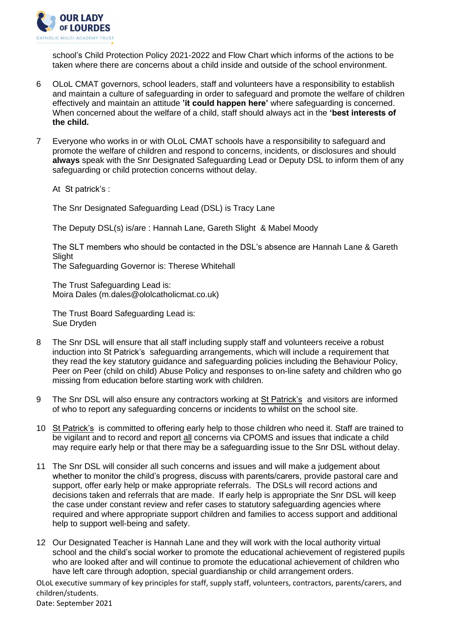

school's Child Protection Policy 2021-2022 and Flow Chart which informs of the actions to be taken where there are concerns about a child inside and outside of the school environment.

- 6 OLoL CMAT governors, school leaders, staff and volunteers have a responsibility to establish and maintain a culture of safeguarding in order to safeguard and promote the welfare of children effectively and maintain an attitude **'it could happen here'** where safeguarding is concerned. When concerned about the welfare of a child, staff should always act in the **'best interests of the child.**
- 7 Everyone who works in or with OLoL CMAT schools have a responsibility to safeguard and promote the welfare of children and respond to concerns, incidents, or disclosures and should **always** speak with the Snr Designated Safeguarding Lead or Deputy DSL to inform them of any safeguarding or child protection concerns without delay.

At St patrick's :

The Snr Designated Safeguarding Lead (DSL) is Tracy Lane

The Deputy DSL(s) is/are : Hannah Lane, Gareth Slight & Mabel Moody

The SLT members who should be contacted in the DSL's absence are Hannah Lane & Gareth **Slight** 

The Safeguarding Governor is: Therese Whitehall

The Trust Safeguarding Lead is: Moira Dales (m.dales@ololcatholicmat.co.uk)

The Trust Board Safeguarding Lead is: Sue Dryden

- 8 The Snr DSL will ensure that all staff including supply staff and volunteers receive a robust induction into St Patrick's safeguarding arrangements, which will include a requirement that they read the key statutory guidance and safeguarding policies including the Behaviour Policy, Peer on Peer (child on child) Abuse Policy and responses to on-line safety and children who go missing from education before starting work with children.
- 9 The Snr DSL will also ensure any contractors working at St Patrick's and visitors are informed of who to report any safeguarding concerns or incidents to whilst on the school site.
- 10 St Patrick's is committed to offering early help to those children who need it. Staff are trained to be vigilant and to record and report all concerns via CPOMS and issues that indicate a child may require early help or that there may be a safeguarding issue to the Snr DSL without delay.
- 11 The Snr DSL will consider all such concerns and issues and will make a judgement about whether to monitor the child's progress, discuss with parents/carers, provide pastoral care and support, offer early help or make appropriate referrals. The DSLs will record actions and decisions taken and referrals that are made. If early help is appropriate the Snr DSL will keep the case under constant review and refer cases to statutory safeguarding agencies where required and where appropriate support children and families to access support and additional help to support well-being and safety.
- 12 Our Designated Teacher is Hannah Lane and they will work with the local authority virtual school and the child's social worker to promote the educational achievement of registered pupils who are looked after and will continue to promote the educational achievement of children who have left care through adoption, special guardianship or child arrangement orders.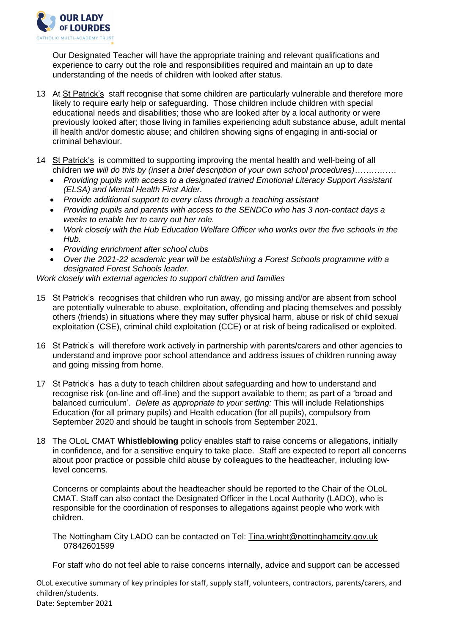

Our Designated Teacher will have the appropriate training and relevant qualifications and experience to carry out the role and responsibilities required and maintain an up to date understanding of the needs of children with looked after status.

- 13 At St Patrick's staff recognise that some children are particularly vulnerable and therefore more likely to require early help or safequarding. Those children include children with special educational needs and disabilities; those who are looked after by a local authority or were previously looked after; those living in families experiencing adult substance abuse, adult mental ill health and/or domestic abuse; and children showing signs of engaging in anti-social or criminal behaviour.
- 14 St Patrick's is committed to supporting improving the mental health and well-being of all children *we will do this by (inset a brief description of your own school procedures)……………*
	- *Providing pupils with access to a designated trained Emotional Literacy Support Assistant (ELSA) and Mental Health First Aider.*
	- *Provide additional support to every class through a teaching assistant*
	- *Providing pupils and parents with access to the SENDCo who has 3 non-contact days a weeks to enable her to carry out her role.*
	- *Work closely with the Hub Education Welfare Officer who works over the five schools in the Hub.*
	- *Providing enrichment after school clubs*
	- *Over the 2021-22 academic year will be establishing a Forest Schools programme with a designated Forest Schools leader.*

*Work closely with external agencies to support children and families*

- 15 St Patrick's recognises that children who run away, go missing and/or are absent from school are potentially vulnerable to abuse, exploitation, offending and placing themselves and possibly others (friends) in situations where they may suffer physical harm, abuse or risk of child sexual exploitation (CSE), criminal child exploitation (CCE) or at risk of being radicalised or exploited.
- 16 St Patrick's will therefore work actively in partnership with parents/carers and other agencies to understand and improve poor school attendance and address issues of children running away and going missing from home.
- 17 St Patrick's has a duty to teach children about safeguarding and how to understand and recognise risk (on-line and off-line) and the support available to them; as part of a 'broad and balanced curriculum'. *Delete as appropriate to your setting:* This will include Relationships Education (for all primary pupils) and Health education (for all pupils), compulsory from September 2020 and should be taught in schools from September 2021.
- 18 The OLoL CMAT **Whistleblowing** policy enables staff to raise concerns or allegations, initially in confidence, and for a sensitive enquiry to take place. Staff are expected to report all concerns about poor practice or possible child abuse by colleagues to the headteacher, including lowlevel concerns.

Concerns or complaints about the headteacher should be reported to the Chair of the OLoL CMAT. Staff can also contact the Designated Officer in the Local Authority (LADO), who is responsible for the coordination of responses to allegations against people who work with children.

The Nottingham City LADO can be contacted on Tel: [Tina.wright@nottinghamcity.gov.uk](mailto:Tina.wright@nottinghamcity.gov.uk)  07842601599

For staff who do not feel able to raise concerns internally, advice and support can be accessed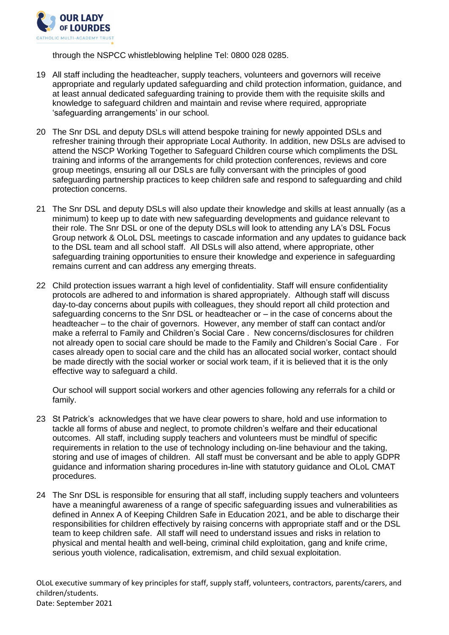

through the NSPCC whistleblowing helpline Tel: 0800 028 0285.

- 19 All staff including the headteacher, supply teachers, volunteers and governors will receive appropriate and regularly updated safeguarding and child protection information, guidance, and at least annual dedicated safeguarding training to provide them with the requisite skills and knowledge to safeguard children and maintain and revise where required, appropriate 'safeguarding arrangements' in our school.
- 20 The Snr DSL and deputy DSLs will attend bespoke training for newly appointed DSLs and refresher training through their appropriate Local Authority. In addition, new DSLs are advised to attend the NSCP Working Together to Safeguard Children course which compliments the DSL training and informs of the arrangements for child protection conferences, reviews and core group meetings, ensuring all our DSLs are fully conversant with the principles of good safeguarding partnership practices to keep children safe and respond to safeguarding and child protection concerns.
- 21 The Snr DSL and deputy DSLs will also update their knowledge and skills at least annually (as a minimum) to keep up to date with new safeguarding developments and guidance relevant to their role. The Snr DSL or one of the deputy DSLs will look to attending any LA's DSL Focus Group network & OLoL DSL meetings to cascade information and any updates to guidance back to the DSL team and all school staff. All DSLs will also attend, where appropriate, other safeguarding training opportunities to ensure their knowledge and experience in safeguarding remains current and can address any emerging threats.
- 22 Child protection issues warrant a high level of confidentiality. Staff will ensure confidentiality protocols are adhered to and information is shared appropriately. Although staff will discuss day-to-day concerns about pupils with colleagues, they should report all child protection and safeguarding concerns to the Snr DSL or headteacher or – in the case of concerns about the headteacher – to the chair of governors. However, any member of staff can contact and/or make a referral to Family and Children's Social Care . New concerns/disclosures for children not already open to social care should be made to the Family and Children's Social Care . For cases already open to social care and the child has an allocated social worker, contact should be made directly with the social worker or social work team, if it is believed that it is the only effective way to safeguard a child.

Our school will support social workers and other agencies following any referrals for a child or family.

- 23 St Patrick's acknowledges that we have clear powers to share, hold and use information to tackle all forms of abuse and neglect, to promote children's welfare and their educational outcomes. All staff, including supply teachers and volunteers must be mindful of specific requirements in relation to the use of technology including on-line behaviour and the taking, storing and use of images of children. All staff must be conversant and be able to apply GDPR guidance and information sharing procedures in-line with statutory guidance and OLoL CMAT procedures.
- 24 The Snr DSL is responsible for ensuring that all staff, including supply teachers and volunteers have a meaningful awareness of a range of specific safeguarding issues and vulnerabilities as defined in Annex A of Keeping Children Safe in Education 2021, and be able to discharge their responsibilities for children effectively by raising concerns with appropriate staff and or the DSL team to keep children safe. All staff will need to understand issues and risks in relation to physical and mental health and well-being, criminal child exploitation, gang and knife crime, serious youth violence, radicalisation, extremism, and child sexual exploitation.